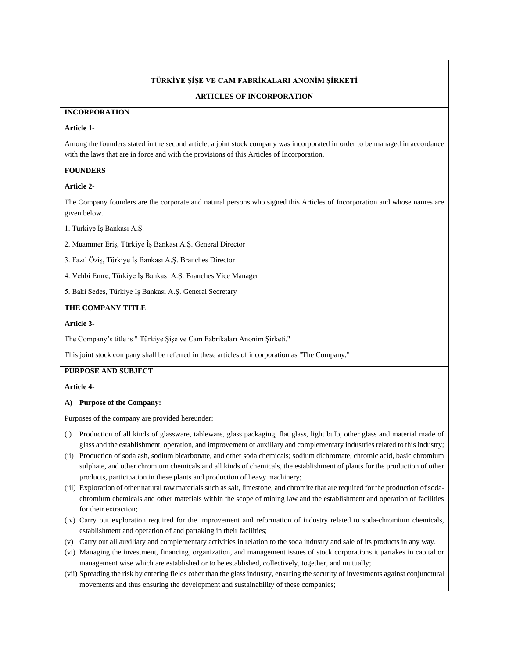### **TÜRKİYE ŞİŞE VE CAM FABRİKALARI ANONİM ŞİRKETİ**

#### **ARTICLES OF INCORPORATION**

#### **INCORPORATION**

### **Article 1-**

Among the founders stated in the second article, a joint stock company was incorporated in order to be managed in accordance with the laws that are in force and with the provisions of this Articles of Incorporation,

## **FOUNDERS**

#### **Article 2-**

The Company founders are the corporate and natural persons who signed this Articles of Incorporation and whose names are given below.

1. Türkiye İş Bankası A.Ş.

2. Muammer Eriş, Türkiye İş Bankası A.Ş. General Director

3. Fazıl Öziş, Türkiye İş Bankası A.Ş. Branches Director

4. Vehbi Emre, Türkiye İş Bankası A.Ş. Branches Vice Manager

5. Baki Sedes, Türkiye İş Bankası A.Ş. General Secretary

## **THE COMPANY TITLE**

#### **Article 3-**

The Company's title is " Türkiye Şişe ve Cam Fabrikaları Anonim Şirketi."

This joint stock company shall be referred in these articles of incorporation as "The Company,"

## **PURPOSE AND SUBJECT**

**Article 4-**

#### **A) Purpose of the Company:**

Purposes of the company are provided hereunder:

- (i) Production of all kinds of glassware, tableware, glass packaging, flat glass, light bulb, other glass and material made of glass and the establishment, operation, and improvement of auxiliary and complementary industries related to this industry;
- (ii) Production of soda ash, sodium bicarbonate, and other soda chemicals; sodium dichromate, chromic acid, basic chromium sulphate, and other chromium chemicals and all kinds of chemicals, the establishment of plants for the production of other products, participation in these plants and production of heavy machinery;
- (iii) Exploration of other natural raw materials such as salt, limestone, and chromite that are required for the production of sodachromium chemicals and other materials within the scope of mining law and the establishment and operation of facilities for their extraction;
- (iv) Carry out exploration required for the improvement and reformation of industry related to soda-chromium chemicals, establishment and operation of and partaking in their facilities;
- (v) Carry out all auxiliary and complementary activities in relation to the soda industry and sale of its products in any way.
- (vi) Managing the investment, financing, organization, and management issues of stock corporations it partakes in capital or management wise which are established or to be established, collectively, together, and mutually;
- (vii) Spreading the risk by entering fields other than the glass industry, ensuring the security of investments against conjunctural movements and thus ensuring the development and sustainability of these companies;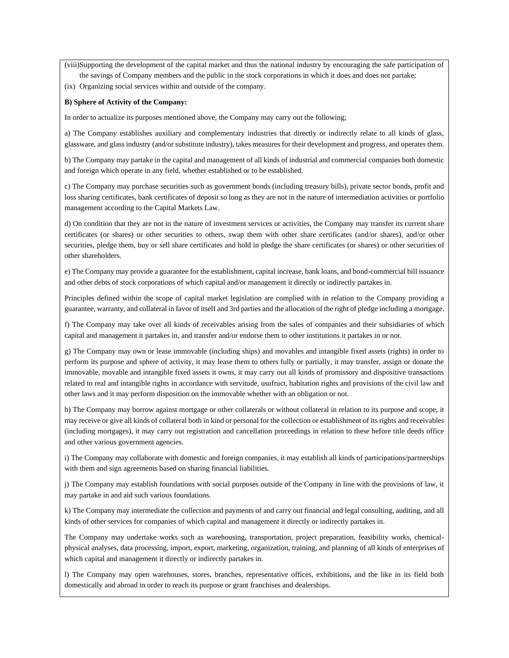(viii)Supporting the development of the capital market and thus the national industry by encouraging the safe participation of the savings of Company members and the public in the stock corporations in which it does and does not partake;

(ix) Organizing social services within and outside of the company.

#### **B) Sphere of Activity of the Company:**

In order to actualize its purposes mentioned above, the Company may carry out the following;

a) The Company establishes auxiliary and complementary industries that directly or indirectly relate to all kinds of glass, glassware, and glass industry (and/or substitute industry), takes measures for their development and progress, and operates them.

b) The Company may partake in the capital and management of all kinds of industrial and commercial companies both domestic and foreign which operate in any field, whether established or to be established.

c) The Company may purchase securities such as government bonds (including treasury bills), private sector bonds, profit and loss sharing certificates, bank certificates of deposit so long as they are not in the nature of intermediation activities or portfolio management according to the Capital Markets Law.

d) On condition that they are not in the nature of investment services or activities, the Company may transfer its current share certificates (or shares) or other securities to others, swap them with other share certificates (and/or shares), and/or other securities, pledge them, buy or sell share certificates and hold in pledge the share certificates (or shares) or other securities of other shareholders.

e) The Company may provide a guarantee for the establishment, capital increase, bank loans, and bond-commercial bill issuance and other debts of stock corporations of which capital and/or management it directly or indirectly partakes in.

Principles defined within the scope of capital market legislation are complied with in relation to the Company providing a guarantee, warranty, and collateral in favor of itself and 3rd parties and the allocation of the right of pledge including a mortgage.

f) The Company may take over all kinds of receivables arising from the sales of companies and their subsidiaries of which capital and management it partakes in, and transfer and/or endorse them to other institutions it partakes in or not.

g) The Company may own or lease immovable (including ships) and movables and intangible fixed assets (rights) in order to perform its purpose and sphere of activity, it may lease them to others fully or partially, it may transfer, assign or donate the immovable, movable and intangible fixed assets it owns, it may carry out all kinds of promissory and dispositive transactions related to real and intangible rights in accordance with servitude, usufruct, habitation rights and provisions of the civil law and other laws and it may perform disposition on the immovable whether with an obligation or not.

h) The Company may borrow against mortgage or other collaterals or without collateral in relation to its purpose and scope, it may receive or give all kinds of collateral both in kind or personal for the collection or establishment of its rights and receivables (including mortgages), it may carry out registration and cancellation proceedings in relation to these before title deeds office and other various government agencies.

i) The Company may collaborate with domestic and foreign companies, it may establish all kinds of participations/partnerships with them and sign agreements based on sharing financial liabilities.

j) The Company may establish foundations with social purposes outside of the Company in line with the provisions of law, it may partake in and aid such various foundations.

k) The Company may intermediate the collection and payments of and carry out financial and legal consulting, auditing, and all kinds of other services for companies of which capital and management it directly or indirectly partakes in.

The Company may undertake works such as warehousing, transportation, project preparation, feasibility works, chemicalphysical analyses, data processing, import, export, marketing, organization, training, and planning of all kinds of enterprises of which capital and management it directly or indirectly partakes in.

l) The Company may open warehouses, stores, branches, representative offices, exhibitions, and the like in its field both domestically and abroad in order to reach its purpose or grant franchises and dealerships.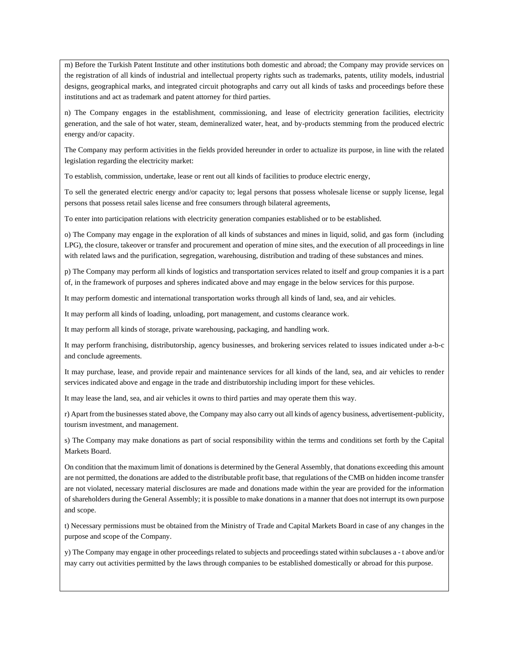m) Before the Turkish Patent Institute and other institutions both domestic and abroad; the Company may provide services on the registration of all kinds of industrial and intellectual property rights such as trademarks, patents, utility models, industrial designs, geographical marks, and integrated circuit photographs and carry out all kinds of tasks and proceedings before these institutions and act as trademark and patent attorney for third parties.

n) The Company engages in the establishment, commissioning, and lease of electricity generation facilities, electricity generation, and the sale of hot water, steam, demineralized water, heat, and by-products stemming from the produced electric energy and/or capacity.

The Company may perform activities in the fields provided hereunder in order to actualize its purpose, in line with the related legislation regarding the electricity market:

To establish, commission, undertake, lease or rent out all kinds of facilities to produce electric energy,

To sell the generated electric energy and/or capacity to; legal persons that possess wholesale license or supply license, legal persons that possess retail sales license and free consumers through bilateral agreements,

To enter into participation relations with electricity generation companies established or to be established.

o) The Company may engage in the exploration of all kinds of substances and mines in liquid, solid, and gas form (including LPG), the closure, takeover or transfer and procurement and operation of mine sites, and the execution of all proceedings in line with related laws and the purification, segregation, warehousing, distribution and trading of these substances and mines.

p) The Company may perform all kinds of logistics and transportation services related to itself and group companies it is a part of, in the framework of purposes and spheres indicated above and may engage in the below services for this purpose.

It may perform domestic and international transportation works through all kinds of land, sea, and air vehicles.

It may perform all kinds of loading, unloading, port management, and customs clearance work.

It may perform all kinds of storage, private warehousing, packaging, and handling work.

It may perform franchising, distributorship, agency businesses, and brokering services related to issues indicated under a-b-c and conclude agreements.

It may purchase, lease, and provide repair and maintenance services for all kinds of the land, sea, and air vehicles to render services indicated above and engage in the trade and distributorship including import for these vehicles.

It may lease the land, sea, and air vehicles it owns to third parties and may operate them this way.

r) Apart from the businesses stated above, the Company may also carry out all kinds of agency business, advertisement-publicity, tourism investment, and management.

s) The Company may make donations as part of social responsibility within the terms and conditions set forth by the Capital Markets Board.

On condition that the maximum limit of donations is determined by the General Assembly, that donations exceeding this amount are not permitted, the donations are added to the distributable profit base, that regulations of the CMB on hidden income transfer are not violated, necessary material disclosures are made and donations made within the year are provided for the information of shareholders during the General Assembly; it is possible to make donations in a manner that does not interrupt its own purpose and scope.

t) Necessary permissions must be obtained from the Ministry of Trade and Capital Markets Board in case of any changes in the purpose and scope of the Company.

y) The Company may engage in other proceedings related to subjects and proceedings stated within subclauses a - t above and/or may carry out activities permitted by the laws through companies to be established domestically or abroad for this purpose.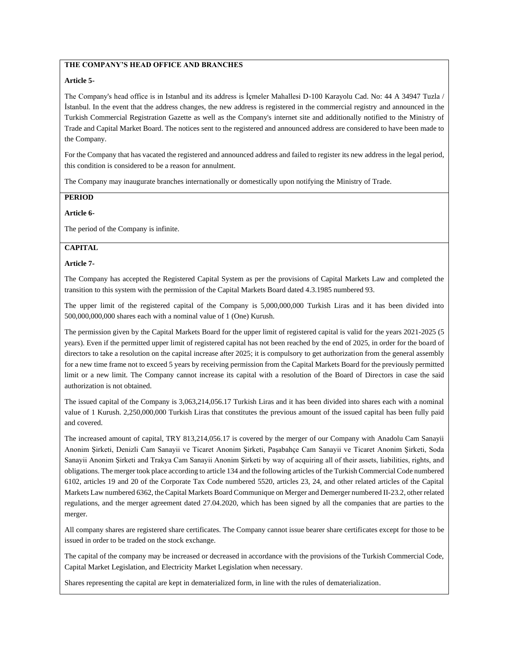## **THE COMPANY'S HEAD OFFICE AND BRANCHES**

#### **Article 5-**

The Company's head office is in Istanbul and its address is İçmeler Mahallesi D-100 Karayolu Cad. No: 44 A 34947 Tuzla / İstanbul. In the event that the address changes, the new address is registered in the commercial registry and announced in the Turkish Commercial Registration Gazette as well as the Company's internet site and additionally notified to the Ministry of Trade and Capital Market Board. The notices sent to the registered and announced address are considered to have been made to the Company.

For the Company that has vacated the registered and announced address and failed to register its new address in the legal period, this condition is considered to be a reason for annulment.

The Company may inaugurate branches internationally or domestically upon notifying the Ministry of Trade.

### **PERIOD**

#### **Article 6-**

The period of the Company is infinite.

### **CAPITAL**

#### **Article 7-**

The Company has accepted the Registered Capital System as per the provisions of Capital Markets Law and completed the transition to this system with the permission of the Capital Markets Board dated 4.3.1985 numbered 93.

The upper limit of the registered capital of the Company is 5,000,000,000 Turkish Liras and it has been divided into 500,000,000,000 shares each with a nominal value of 1 (One) Kurush.

The permission given by the Capital Markets Board for the upper limit of registered capital is valid for the years 2021-2025 (5 years). Even if the permitted upper limit of registered capital has not been reached by the end of 2025, in order for the board of directors to take a resolution on the capital increase after 2025; it is compulsory to get authorization from the general assembly for a new time frame not to exceed 5 years by receiving permission from the Capital Markets Board for the previously permitted limit or a new limit. The Company cannot increase its capital with a resolution of the Board of Directors in case the said authorization is not obtained.

The issued capital of the Company is 3,063,214,056.17 Turkish Liras and it has been divided into shares each with a nominal value of 1 Kurush. 2,250,000,000 Turkish Liras that constitutes the previous amount of the issued capital has been fully paid and covered.

The increased amount of capital, TRY 813,214,056.17 is covered by the merger of our Company with Anadolu Cam Sanayii Anonim Şirketi, Denizli Cam Sanayii ve Ticaret Anonim Şirketi, Paşabahçe Cam Sanayii ve Ticaret Anonim Şirketi, Soda Sanayii Anonim Şirketi and Trakya Cam Sanayii Anonim Şirketi by way of acquiring all of their assets, liabilities, rights, and obligations. The merger took place according to article 134 and the following articles of the Turkish Commercial Code numbered 6102, articles 19 and 20 of the Corporate Tax Code numbered 5520, articles 23, 24, and other related articles of the Capital Markets Law numbered 6362, the Capital Markets Board Communique on Merger and Demerger numbered II-23.2, other related regulations, and the merger agreement dated 27.04.2020, which has been signed by all the companies that are parties to the merger.

All company shares are registered share certificates. The Company cannot issue bearer share certificates except for those to be issued in order to be traded on the stock exchange.

The capital of the company may be increased or decreased in accordance with the provisions of the Turkish Commercial Code, Capital Market Legislation, and Electricity Market Legislation when necessary.

Shares representing the capital are kept in dematerialized form, in line with the rules of dematerialization.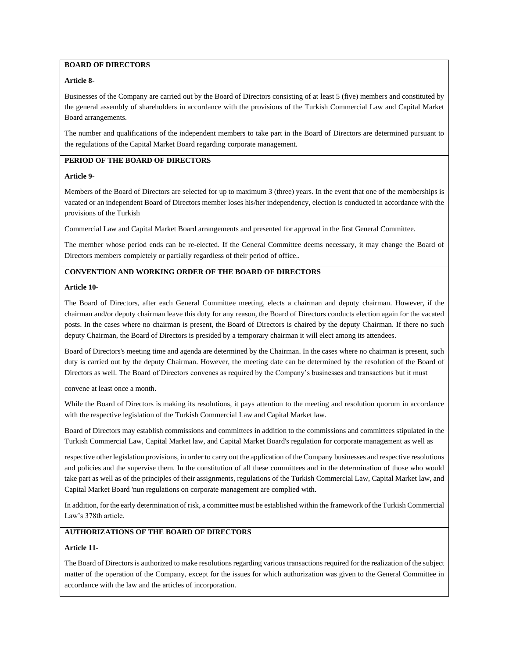## **BOARD OF DIRECTORS**

### **Article 8-**

Businesses of the Company are carried out by the Board of Directors consisting of at least 5 (five) members and constituted by the general assembly of shareholders in accordance with the provisions of the Turkish Commercial Law and Capital Market Board arrangements.

The number and qualifications of the independent members to take part in the Board of Directors are determined pursuant to the regulations of the Capital Market Board regarding corporate management.

## **PERIOD OF THE BOARD OF DIRECTORS**

### **Article 9-**

Members of the Board of Directors are selected for up to maximum 3 (three) years. In the event that one of the memberships is vacated or an independent Board of Directors member loses his/her independency, election is conducted in accordance with the provisions of the Turkish

Commercial Law and Capital Market Board arrangements and presented for approval in the first General Committee.

The member whose period ends can be re-elected. If the General Committee deems necessary, it may change the Board of Directors members completely or partially regardless of their period of office..

### **CONVENTION AND WORKING ORDER OF THE BOARD OF DIRECTORS**

#### **Article 10-**

The Board of Directors, after each General Committee meeting, elects a chairman and deputy chairman. However, if the chairman and/or deputy chairman leave this duty for any reason, the Board of Directors conducts election again for the vacated posts. In the cases where no chairman is present, the Board of Directors is chaired by the deputy Chairman. If there no such deputy Chairman, the Board of Directors is presided by a temporary chairman it will elect among its attendees.

Board of Directors's meeting time and agenda are determined by the Chairman. In the cases where no chairman is present, such duty is carried out by the deputy Chairman. However, the meeting date can be determined by the resolution of the Board of Directors as well. The Board of Directors convenes as required by the Company's businesses and transactions but it must

convene at least once a month.

While the Board of Directors is making its resolutions, it pays attention to the meeting and resolution quorum in accordance with the respective legislation of the Turkish Commercial Law and Capital Market law.

Board of Directors may establish commissions and committees in addition to the commissions and committees stipulated in the Turkish Commercial Law, Capital Market law, and Capital Market Board's regulation for corporate management as well as

respective other legislation provisions, in order to carry out the application of the Company businesses and respective resolutions and policies and the supervise them. In the constitution of all these committees and in the determination of those who would take part as well as of the principles of their assignments, regulations of the Turkish Commercial Law, Capital Market law, and Capital Market Board 'nun regulations on corporate management are complied with.

In addition, for the early determination of risk, a committee must be established within the framework of the Turkish Commercial Law's 378th article.

## **AUTHORIZATIONS OF THE BOARD OF DIRECTORS**

#### **Article 11-**

The Board of Directors is authorized to make resolutions regarding various transactions required for the realization of the subject matter of the operation of the Company, except for the issues for which authorization was given to the General Committee in accordance with the law and the articles of incorporation.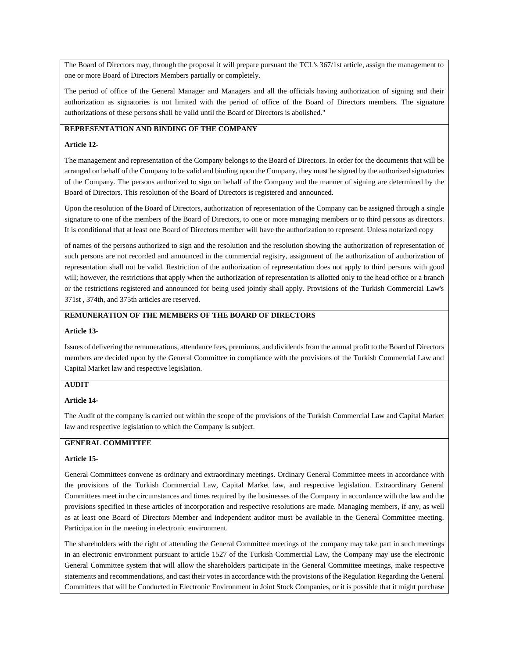The Board of Directors may, through the proposal it will prepare pursuant the TCL's 367/1st article, assign the management to one or more Board of Directors Members partially or completely.

The period of office of the General Manager and Managers and all the officials having authorization of signing and their authorization as signatories is not limited with the period of office of the Board of Directors members. The signature authorizations of these persons shall be valid until the Board of Directors is abolished."

## **REPRESENTATION AND BINDING OF THE COMPANY**

#### **Article 12-**

The management and representation of the Company belongs to the Board of Directors. In order for the documents that will be arranged on behalf of the Company to be valid and binding upon the Company, they must be signed by the authorized signatories of the Company. The persons authorized to sign on behalf of the Company and the manner of signing are determined by the Board of Directors. This resolution of the Board of Directors is registered and announced.

Upon the resolution of the Board of Directors, authorization of representation of the Company can be assigned through a single signature to one of the members of the Board of Directors, to one or more managing members or to third persons as directors. It is conditional that at least one Board of Directors member will have the authorization to represent. Unless notarized copy

of names of the persons authorized to sign and the resolution and the resolution showing the authorization of representation of such persons are not recorded and announced in the commercial registry, assignment of the authorization of authorization of representation shall not be valid. Restriction of the authorization of representation does not apply to third persons with good will; however, the restrictions that apply when the authorization of representation is allotted only to the head office or a branch or the restrictions registered and announced for being used jointly shall apply. Provisions of the Turkish Commercial Law's 371st , 374th, and 375th articles are reserved.

#### **REMUNERATION OF THE MEMBERS OF THE BOARD OF DIRECTORS**

#### **Article 13-**

Issues of delivering the remunerations, attendance fees, premiums, and dividends from the annual profit to the Board of Directors members are decided upon by the General Committee in compliance with the provisions of the Turkish Commercial Law and Capital Market law and respective legislation.

### **AUDIT**

#### **Article 14-**

The Audit of the company is carried out within the scope of the provisions of the Turkish Commercial Law and Capital Market law and respective legislation to which the Company is subject.

#### **GENERAL COMMITTEE**

#### **Article 15-**

General Committees convene as ordinary and extraordinary meetings. Ordinary General Committee meets in accordance with the provisions of the Turkish Commercial Law, Capital Market law, and respective legislation. Extraordinary General Committees meet in the circumstances and times required by the businesses of the Company in accordance with the law and the provisions specified in these articles of incorporation and respective resolutions are made. Managing members, if any, as well as at least one Board of Directors Member and independent auditor must be available in the General Committee meeting. Participation in the meeting in electronic environment.

The shareholders with the right of attending the General Committee meetings of the company may take part in such meetings in an electronic environment pursuant to article 1527 of the Turkish Commercial Law, the Company may use the electronic General Committee system that will allow the shareholders participate in the General Committee meetings, make respective statements and recommendations, and cast their votes in accordance with the provisions of the Regulation Regarding the General Committees that will be Conducted in Electronic Environment in Joint Stock Companies, or it is possible that it might purchase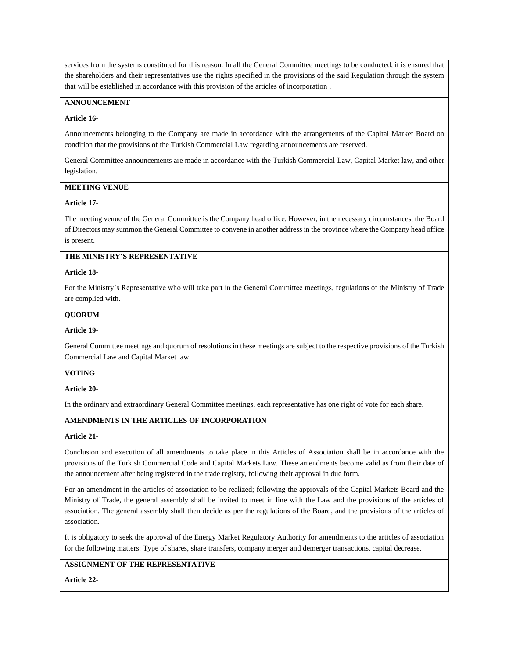services from the systems constituted for this reason. In all the General Committee meetings to be conducted, it is ensured that the shareholders and their representatives use the rights specified in the provisions of the said Regulation through the system that will be established in accordance with this provision of the articles of incorporation .

### **ANNOUNCEMENT**

#### **Article 16-**

Announcements belonging to the Company are made in accordance with the arrangements of the Capital Market Board on condition that the provisions of the Turkish Commercial Law regarding announcements are reserved.

General Committee announcements are made in accordance with the Turkish Commercial Law, Capital Market law, and other legislation.

### **MEETING VENUE**

### **Article 17-**

The meeting venue of the General Committee is the Company head office. However, in the necessary circumstances, the Board of Directors may summon the General Committee to convene in another address in the province where the Company head office is present.

## **THE MINISTRY'S REPRESENTATIVE**

#### **Article 18-**

For the Ministry's Representative who will take part in the General Committee meetings, regulations of the Ministry of Trade are complied with.

#### **QUORUM**

#### **Article 19-**

General Committee meetings and quorum of resolutions in these meetings are subject to the respective provisions of the Turkish Commercial Law and Capital Market law.

#### **VOTING**

#### **Article 20-**

In the ordinary and extraordinary General Committee meetings, each representative has one right of vote for each share.

## **AMENDMENTS IN THE ARTICLES OF INCORPORATION**

#### **Article 21-**

Conclusion and execution of all amendments to take place in this Articles of Association shall be in accordance with the provisions of the Turkish Commercial Code and Capital Markets Law. These amendments become valid as from their date of the announcement after being registered in the trade registry, following their approval in due form.

For an amendment in the articles of association to be realized; following the approvals of the Capital Markets Board and the Ministry of Trade, the general assembly shall be invited to meet in line with the Law and the provisions of the articles of association. The general assembly shall then decide as per the regulations of the Board, and the provisions of the articles of association.

It is obligatory to seek the approval of the Energy Market Regulatory Authority for amendments to the articles of association for the following matters: Type of shares, share transfers, company merger and demerger transactions, capital decrease.

## **ASSIGNMENT OF THE REPRESENTATIVE**

**Article 22-**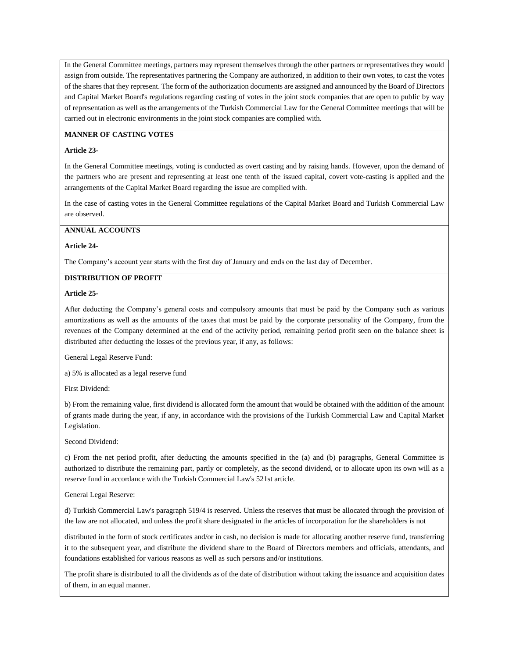In the General Committee meetings, partners may represent themselves through the other partners or representatives they would assign from outside. The representatives partnering the Company are authorized, in addition to their own votes, to cast the votes of the shares that they represent. The form of the authorization documents are assigned and announced by the Board of Directors and Capital Market Board's regulations regarding casting of votes in the joint stock companies that are open to public by way of representation as well as the arrangements of the Turkish Commercial Law for the General Committee meetings that will be carried out in electronic environments in the joint stock companies are complied with.

## **MANNER OF CASTING VOTES**

#### **Article 23-**

In the General Committee meetings, voting is conducted as overt casting and by raising hands. However, upon the demand of the partners who are present and representing at least one tenth of the issued capital, covert vote-casting is applied and the arrangements of the Capital Market Board regarding the issue are complied with.

In the case of casting votes in the General Committee regulations of the Capital Market Board and Turkish Commercial Law are observed.

### **ANNUAL ACCOUNTS**

#### **Article 24-**

The Company's account year starts with the first day of January and ends on the last day of December.

#### **DISTRIBUTION OF PROFIT**

#### **Article 25-**

After deducting the Company's general costs and compulsory amounts that must be paid by the Company such as various amortizations as well as the amounts of the taxes that must be paid by the corporate personality of the Company, from the revenues of the Company determined at the end of the activity period, remaining period profit seen on the balance sheet is distributed after deducting the losses of the previous year, if any, as follows:

General Legal Reserve Fund:

a) 5% is allocated as a legal reserve fund

First Dividend:

b) From the remaining value, first dividend is allocated form the amount that would be obtained with the addition of the amount of grants made during the year, if any, in accordance with the provisions of the Turkish Commercial Law and Capital Market Legislation.

Second Dividend:

c) From the net period profit, after deducting the amounts specified in the (a) and (b) paragraphs, General Committee is authorized to distribute the remaining part, partly or completely, as the second dividend, or to allocate upon its own will as a reserve fund in accordance with the Turkish Commercial Law's 521st article.

#### General Legal Reserve:

d) Turkish Commercial Law's paragraph 519/4 is reserved. Unless the reserves that must be allocated through the provision of the law are not allocated, and unless the profit share designated in the articles of incorporation for the shareholders is not

distributed in the form of stock certificates and/or in cash, no decision is made for allocating another reserve fund, transferring it to the subsequent year, and distribute the dividend share to the Board of Directors members and officials, attendants, and foundations established for various reasons as well as such persons and/or institutions.

The profit share is distributed to all the dividends as of the date of distribution without taking the issuance and acquisition dates of them, in an equal manner.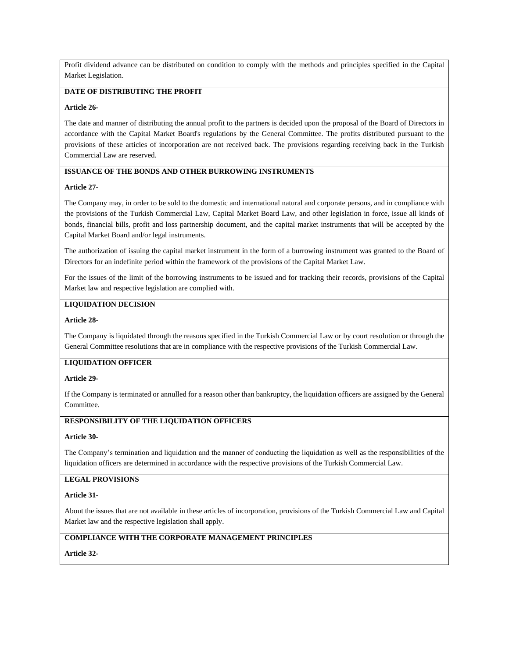Profit dividend advance can be distributed on condition to comply with the methods and principles specified in the Capital Market Legislation.

## **DATE OF DISTRIBUTING THE PROFIT**

#### **Article 26-**

The date and manner of distributing the annual profit to the partners is decided upon the proposal of the Board of Directors in accordance with the Capital Market Board's regulations by the General Committee. The profits distributed pursuant to the provisions of these articles of incorporation are not received back. The provisions regarding receiving back in the Turkish Commercial Law are reserved.

### **ISSUANCE OF THE BONDS AND OTHER BURROWING INSTRUMENTS**

### **Article 27-**

The Company may, in order to be sold to the domestic and international natural and corporate persons, and in compliance with the provisions of the Turkish Commercial Law, Capital Market Board Law, and other legislation in force, issue all kinds of bonds, financial bills, profit and loss partnership document, and the capital market instruments that will be accepted by the Capital Market Board and/or legal instruments.

The authorization of issuing the capital market instrument in the form of a burrowing instrument was granted to the Board of Directors for an indefinite period within the framework of the provisions of the Capital Market Law.

For the issues of the limit of the borrowing instruments to be issued and for tracking their records, provisions of the Capital Market law and respective legislation are complied with.

### **LIQUIDATION DECISION**

#### **Article 28-**

The Company is liquidated through the reasons specified in the Turkish Commercial Law or by court resolution or through the General Committee resolutions that are in compliance with the respective provisions of the Turkish Commercial Law.

### **LIQUIDATION OFFICER**

#### **Article 29-**

If the Company is terminated or annulled for a reason other than bankruptcy, the liquidation officers are assigned by the General Committee.

### **RESPONSIBILITY OF THE LIQUIDATION OFFICERS**

#### **Article 30-**

The Company's termination and liquidation and the manner of conducting the liquidation as well as the responsibilities of the liquidation officers are determined in accordance with the respective provisions of the Turkish Commercial Law.

### **LEGAL PROVISIONS**

#### **Article 31-**

About the issues that are not available in these articles of incorporation, provisions of the Turkish Commercial Law and Capital Market law and the respective legislation shall apply.

## **COMPLIANCE WITH THE CORPORATE MANAGEMENT PRINCIPLES**

**Article 32-**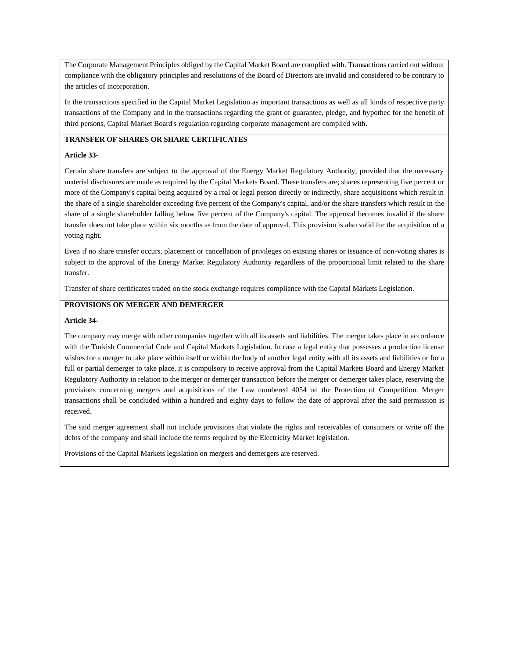The Corporate Management Principles obliged by the Capital Market Board are complied with. Transactions carried out without compliance with the obligatory principles and resolutions of the Board of Directors are invalid and considered to be contrary to the articles of incorporation.

In the transactions specified in the Capital Market Legislation as important transactions as well as all kinds of respective party transactions of the Company and in the transactions regarding the grant of guarantee, pledge, and hypothec for the benefit of third persons, Capital Market Board's regulation regarding corporate management are complied with.

## **TRANSFER OF SHARES OR SHARE CERTIFICATES**

#### **Article 33-**

Certain share transfers are subject to the approval of the Energy Market Regulatory Authority, provided that the necessary material disclosures are made as required by the Capital Markets Board. These transfers are; shares representing five percent or more of the Company's capital being acquired by a real or legal person directly or indirectly, share acquisitions which result in the share of a single shareholder exceeding five percent of the Company's capital, and/or the share transfers which result in the share of a single shareholder falling below five percent of the Company's capital. The approval becomes invalid if the share transfer does not take place within six months as from the date of approval. This provision is also valid for the acquisition of a voting right.

Even if no share transfer occurs, placement or cancellation of privileges on existing shares or issuance of non-voting shares is subject to the approval of the Energy Market Regulatory Authority regardless of the proportional limit related to the share transfer.

Transfer of share certificates traded on the stock exchange requires compliance with the Capital Markets Legislation.

### **PROVISIONS ON MERGER AND DEMERGER**

#### **Article 34-**

The company may merge with other companies together with all its assets and liabilities. The merger takes place in accordance with the Turkish Commercial Code and Capital Markets Legislation. In case a legal entity that possesses a production license wishes for a merger to take place within itself or within the body of another legal entity with all its assets and liabilities or for a full or partial demerger to take place, it is compulsory to receive approval from the Capital Markets Board and Energy Market Regulatory Authority in relation to the merger or demerger transaction before the merger or demerger takes place, reserving the provisions concerning mergers and acquisitions of the Law numbered 4054 on the Protection of Competition. Merger transactions shall be concluded within a hundred and eighty days to follow the date of approval after the said permission is received.

The said merger agreement shall not include provisions that violate the rights and receivables of consumers or write off the debts of the company and shall include the terms required by the Electricity Market legislation.

Provisions of the Capital Markets legislation on mergers and demergers are reserved.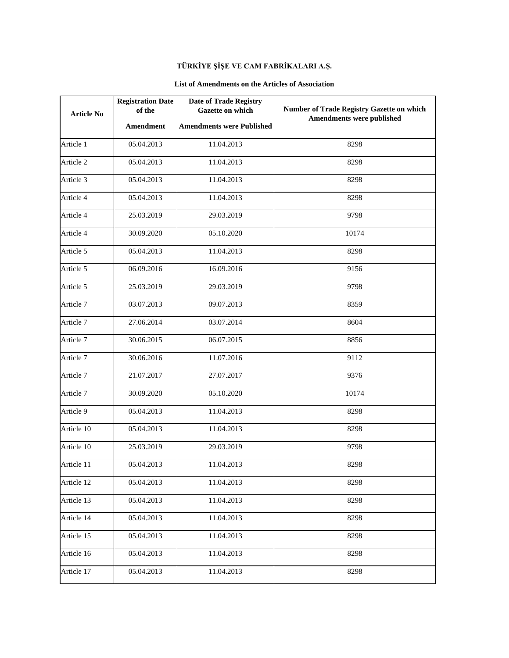# **TÜRKİYE ŞİŞE VE CAM FABRİKALARI A.Ş.**

## **List of Amendments on the Articles of Association**

| <b>Article No</b> | <b>Registration Date</b><br>of the | <b>Date of Trade Registry</b><br>Gazette on which | Number of Trade Registry Gazette on which<br>Amendments were published |
|-------------------|------------------------------------|---------------------------------------------------|------------------------------------------------------------------------|
|                   | Amendment                          | <b>Amendments were Published</b>                  |                                                                        |
| Article 1         | 05.04.2013                         | 11.04.2013                                        | 8298                                                                   |
| Article 2         | 05.04.2013                         | 11.04.2013                                        | 8298                                                                   |
| Article 3         | 05.04.2013                         | 11.04.2013                                        | 8298                                                                   |
| Article 4         | 05.04.2013                         | 11.04.2013                                        | 8298                                                                   |
| Article 4         | 25.03.2019                         | 29.03.2019                                        | 9798                                                                   |
| Article 4         | 30.09.2020                         | 05.10.2020                                        | 10174                                                                  |
| Article 5         | 05.04.2013                         | 11.04.2013                                        | 8298                                                                   |
| Article 5         | 06.09.2016                         | 16.09.2016                                        | 9156                                                                   |
| Article 5         | 25.03.2019                         | 29.03.2019                                        | 9798                                                                   |
| Article 7         | 03.07.2013                         | 09.07.2013                                        | 8359                                                                   |
| Article 7         | 27.06.2014                         | 03.07.2014                                        | 8604                                                                   |
| Article 7         | 30.06.2015                         | 06.07.2015                                        | 8856                                                                   |
| Article 7         | 30.06.2016                         | 11.07.2016                                        | 9112                                                                   |
| Article 7         | 21.07.2017                         | 27.07.2017                                        | 9376                                                                   |
| Article 7         | 30.09.2020                         | 05.10.2020                                        | 10174                                                                  |
| Article 9         | 05.04.2013                         | 11.04.2013                                        | 8298                                                                   |
| Article 10        | 05.04.2013                         | 11.04.2013                                        | 8298                                                                   |
| Article 10        | 25.03.2019                         | 29.03.2019                                        | 9798                                                                   |
| Article 11        | 05.04.2013                         | 11.04.2013                                        | 8298                                                                   |
| Article 12        | 05.04.2013                         | 11.04.2013                                        | 8298                                                                   |
| Article 13        | 05.04.2013                         | 11.04.2013                                        | 8298                                                                   |
| Article 14        | 05.04.2013                         | 11.04.2013                                        | 8298                                                                   |
| Article 15        | 05.04.2013                         | 11.04.2013                                        | 8298                                                                   |
| Article 16        | 05.04.2013                         | 11.04.2013                                        | 8298                                                                   |
| Article 17        | 05.04.2013                         | 11.04.2013                                        | 8298                                                                   |